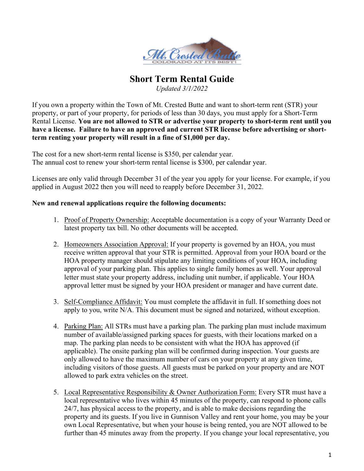

## **Short Term Rental Guide**

*Updated 3/1/2022*

If you own a property within the Town of Mt. Crested Butte and want to short-term rent (STR) your property, or part of your property, for periods of less than 30 days, you must apply for a Short-Term Rental License. **You are not allowed to STR or advertise your property to short-term rent until you have a license. Failure to have an approved and current STR license before advertising or shortterm renting your property will result in a fine of \$1,000 per day.**

The cost for a new short-term rental license is \$350, per calendar year. The annual cost to renew your short-term rental license is \$300, per calendar year.

Licenses are only valid through December 31 of the year you apply for your license. For example, if you applied in August 2022 then you will need to reapply before December 31, 2022.

## **New and renewal applications require the following documents:**

- 1. Proof of Property Ownership: Acceptable documentation is a copy of your Warranty Deed or latest property tax bill. No other documents will be accepted.
- 2. Homeowners Association Approval: If your property is governed by an HOA, you must receive written approval that your STR is permitted. Approval from your HOA board or the HOA property manager should stipulate any limiting conditions of your HOA, including approval of your parking plan. This applies to single family homes as well. Your approval letter must state your property address, including unit number, if applicable. Your HOA approval letter must be signed by your HOA president or manager and have current date.
- 3. Self-Compliance Affidavit: You must complete the affidavit in full. If something does not apply to you, write N/A. This document must be signed and notarized, without exception.
- 4. Parking Plan: All STRs must have a parking plan. The parking plan must include maximum number of available/assigned parking spaces for guests, with their locations marked on a map. The parking plan needs to be consistent with what the HOA has approved (if applicable). The onsite parking plan will be confirmed during inspection. Your guests are only allowed to have the maximum number of cars on your property at any given time, including visitors of those guests. All guests must be parked on your property and are NOT allowed to park extra vehicles on the street.
- 5. Local Representative Responsibility & Owner Authorization Form: Every STR must have a local representative who lives within 45 minutes of the property, can respond to phone calls 24/7, has physical access to the property, and is able to make decisions regarding the property and its guests. If you live in Gunnison Valley and rent your home, you may be your own Local Representative, but when your house is being rented, you are NOT allowed to be further than 45 minutes away from the property. If you change your local representative, you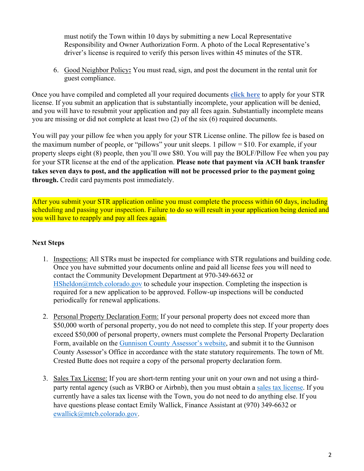must notify the Town within 10 days by submitting a new Local Representative Responsibility and Owner Authorization Form. A photo of the Local Representative's driver's license is required to verify this person lives within 45 minutes of the STR.

6. Good Neighbor Policy**:** You must read, sign, and post the document in the rental unit for guest compliance.

Once you have compiled and completed all your required documents **[click here](https://secure.hostcompliance.com/mount-crested-butte-co/permit-registration/welcome)** to apply for your STR license. If you submit an application that is substantially incomplete, your application will be denied, and you will have to resubmit your application and pay all fees again. Substantially incomplete means you are missing or did not complete at least two (2) of the six (6) required documents.

You will pay your pillow fee when you apply for your STR License online. The pillow fee is based on the maximum number of people, or "pillows" your unit sleeps. 1 pillow = \$10. For example, if your property sleeps eight (8) people, then you'll owe \$80. You will pay the BOLF/Pillow Fee when you pay for your STR license at the end of the application. **Please note that payment via ACH bank transfer takes seven days to post, and the application will not be processed prior to the payment going through.** Credit card payments post immediately.

After you submit your STR application online you must complete the process within 60 days, including scheduling and passing your inspection. Failure to do so will result in your application being denied and you will have to reapply and pay all fees again.

## **Next Steps**

- 1. Inspections: All STRs must be inspected for compliance with STR regulations and building code. Once you have submitted your documents online and paid all license fees you will need to contact the Community Development Department at 970-349-6632 or  $HSheldon@mteb.colorado.gov$  to schedule your inspection. Completing the inspection is required for a new application to be approved. Follow-up inspections will be conducted periodically for renewal applications.
- 2. Personal Property Declaration Form: If your personal property does not exceed more than \$50,000 worth of personal property, you do not need to complete this step. If your property does exceed \$50,000 of personal property, owners must complete the Personal Property Declaration Form, available on the [Gunnison County Assessor's website,](https://www.gunnisoncounty.org/405/Forms-Brochures) and submit it to the Gunnison County Assessor's Office in accordance with the state statutory requirements. The town of Mt. Crested Butte does not require a copy of the personal property declaration form.
- 3. Sales Tax License: If you are short-term renting your unit on your own and not using a thirdparty rental agency (such as VRBO or Airbnb), then you must obtain a [sales tax license.](https://mtcb.colorado.gov/finance/sales-tax-forms/lodging-short-term-sales-tax-form) If you currently have a sales tax license with the Town, you do not need to do anything else. If you have questions please contact Emily Wallick, Finance Assistant at (970) 349-6632 or [ewallick@mtcb.colorado.gov.](mailto:ewallick@mtcb.colorado.gov)